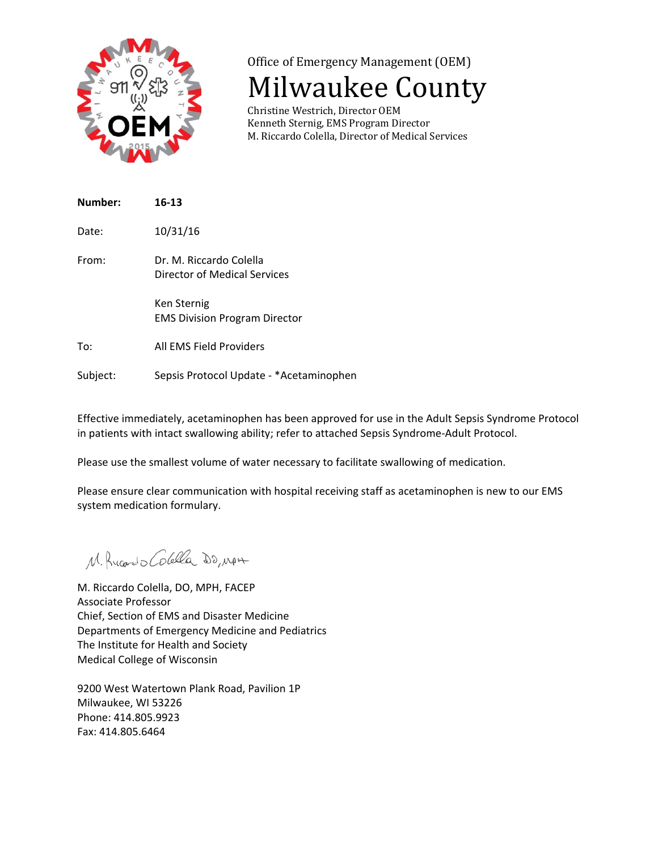

## Office of Emergency Management (OEM)

# **Milwaukee County**

Christine Westrich, Director OEM Kenneth Sternig, EMS Program Director M. Riccardo Colella, Director of Medical Services

| Number: | $16 - 13$                                               |
|---------|---------------------------------------------------------|
| Date:   | 10/31/16                                                |
| From:   | Dr. M. Riccardo Colella<br>Director of Medical Services |
|         | Ken Sternig<br><b>EMS Division Program Director</b>     |
| To:     | All FMS Field Providers                                 |

Subject: Sepsis Protocol Update ‐ \*Acetaminophen

Effective immediately, acetaminophen has been approved for use in the Adult Sepsis Syndrome Protocol

Please use the smallest volume of water necessary to facilitate swallowing of medication.

in patients with intact swallowing ability; refer to attached Sepsis Syndrome‐Adult Protocol.

Please ensure clear communication with hospital receiving staff as acetaminophen is new to our EMS system medication formulary.

M. Rucardo Colella DO, MAN

M. Riccardo Colella, DO, MPH, FACEP Associate Professor Chief, Section of EMS and Disaster Medicine Departments of Emergency Medicine and Pediatrics The Institute for Health and Society Medical College of Wisconsin

9200 West Watertown Plank Road, Pavilion 1P Milwaukee, WI 53226 Phone: 414.805.9923 Fax: 414.805.6464